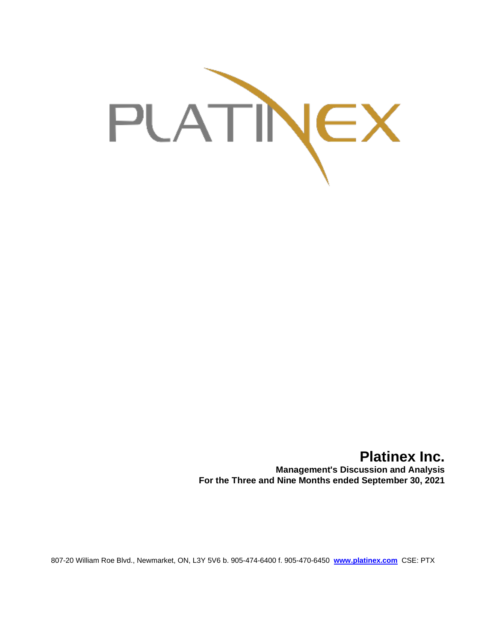

# **Platinex Inc. Management's Discussion and Analysis For the Three and Nine Months ended September 30, 2021**

807-20 William Roe Blvd., Newmarket, ON, L3Y 5V6 b. 905-474-6400 f. 905-470-6450 **[www.platinex.com](http://www.platinex.com/)** CSE: PTX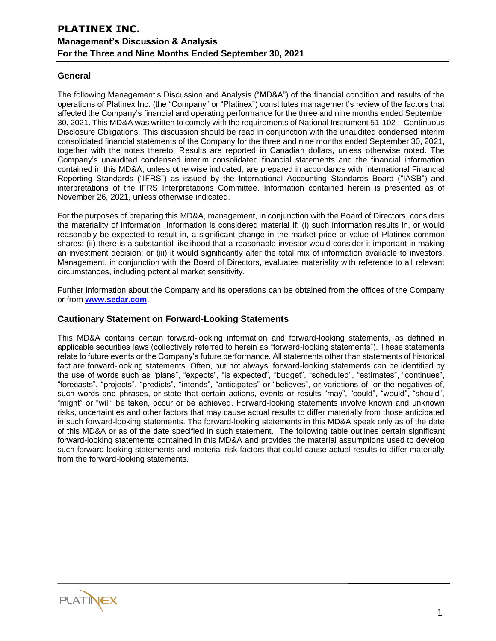## **General**

The following Management's Discussion and Analysis ("MD&A") of the financial condition and results of the operations of Platinex Inc. (the "Company" or "Platinex") constitutes management's review of the factors that affected the Company's financial and operating performance for the three and nine months ended September 30, 2021. This MD&A was written to comply with the requirements of National Instrument 51-102 – Continuous Disclosure Obligations. This discussion should be read in conjunction with the unaudited condensed interim consolidated financial statements of the Company for the three and nine months ended September 30, 2021, together with the notes thereto. Results are reported in Canadian dollars, unless otherwise noted. The Company's unaudited condensed interim consolidated financial statements and the financial information contained in this MD&A, unless otherwise indicated, are prepared in accordance with International Financial Reporting Standards ("IFRS") as issued by the International Accounting Standards Board ("IASB") and interpretations of the IFRS Interpretations Committee. Information contained herein is presented as of November 26, 2021, unless otherwise indicated.

For the purposes of preparing this MD&A, management, in conjunction with the Board of Directors, considers the materiality of information. Information is considered material if: (i) such information results in, or would reasonably be expected to result in, a significant change in the market price or value of Platinex common shares; (ii) there is a substantial likelihood that a reasonable investor would consider it important in making an investment decision; or (iii) it would significantly alter the total mix of information available to investors. Management, in conjunction with the Board of Directors, evaluates materiality with reference to all relevant circumstances, including potential market sensitivity.

Further information about the Company and its operations can be obtained from the offices of the Company or from **[www.sedar.com](http://www.sedar.com/)**.

## **Cautionary Statement on Forward-Looking Statements**

This MD&A contains certain forward-looking information and forward-looking statements, as defined in applicable securities laws (collectively referred to herein as "forward-looking statements"). These statements relate to future events or the Company's future performance. All statements other than statements of historical fact are forward-looking statements. Often, but not always, forward-looking statements can be identified by the use of words such as "plans", "expects", "is expected", "budget", "scheduled", "estimates", "continues", "forecasts", "projects", "predicts", "intends", "anticipates" or "believes", or variations of, or the negatives of, such words and phrases, or state that certain actions, events or results "may", "could", "would", "should", "might" or "will" be taken, occur or be achieved. Forward-looking statements involve known and unknown risks, uncertainties and other factors that may cause actual results to differ materially from those anticipated in such forward-looking statements. The forward-looking statements in this MD&A speak only as of the date of this MD&A or as of the date specified in such statement. The following table outlines certain significant forward-looking statements contained in this MD&A and provides the material assumptions used to develop such forward-looking statements and material risk factors that could cause actual results to differ materially from the forward-looking statements.

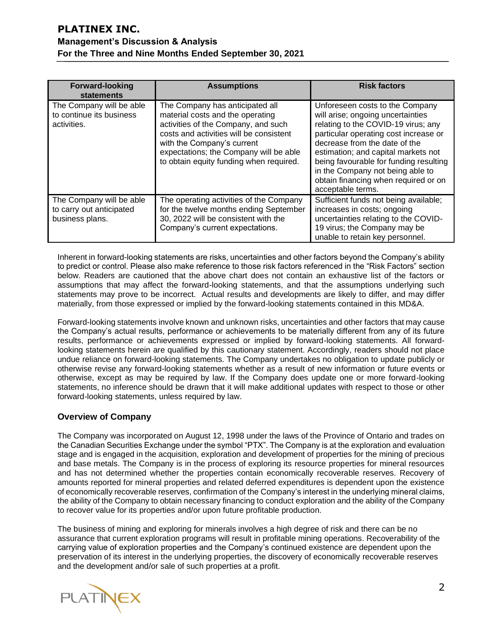| <b>Forward-looking</b><br>statements                                    | <b>Assumptions</b>                                                                                                                                                                                                                                                       | <b>Risk factors</b>                                                                                                                                                                                                                                                                                                                                                     |
|-------------------------------------------------------------------------|--------------------------------------------------------------------------------------------------------------------------------------------------------------------------------------------------------------------------------------------------------------------------|-------------------------------------------------------------------------------------------------------------------------------------------------------------------------------------------------------------------------------------------------------------------------------------------------------------------------------------------------------------------------|
| The Company will be able<br>to continue its business<br>activities.     | The Company has anticipated all<br>material costs and the operating<br>activities of the Company, and such<br>costs and activities will be consistent<br>with the Company's current<br>expectations; the Company will be able<br>to obtain equity funding when required. | Unforeseen costs to the Company<br>will arise; ongoing uncertainties<br>relating to the COVID-19 virus; any<br>particular operating cost increase or<br>decrease from the date of the<br>estimation; and capital markets not<br>being favourable for funding resulting<br>in the Company not being able to<br>obtain financing when required or on<br>acceptable terms. |
| The Company will be able<br>to carry out anticipated<br>business plans. | The operating activities of the Company<br>for the twelve months ending September<br>30, 2022 will be consistent with the<br>Company's current expectations.                                                                                                             | Sufficient funds not being available;<br>increases in costs; ongoing<br>uncertainties relating to the COVID-<br>19 virus; the Company may be<br>unable to retain key personnel.                                                                                                                                                                                         |

Inherent in forward-looking statements are risks, uncertainties and other factors beyond the Company's ability to predict or control. Please also make reference to those risk factors referenced in the "Risk Factors" section below. Readers are cautioned that the above chart does not contain an exhaustive list of the factors or assumptions that may affect the forward-looking statements, and that the assumptions underlying such statements may prove to be incorrect. Actual results and developments are likely to differ, and may differ materially, from those expressed or implied by the forward-looking statements contained in this MD&A.

Forward-looking statements involve known and unknown risks, uncertainties and other factors that may cause the Company's actual results, performance or achievements to be materially different from any of its future results, performance or achievements expressed or implied by forward-looking statements. All forwardlooking statements herein are qualified by this cautionary statement. Accordingly, readers should not place undue reliance on forward-looking statements. The Company undertakes no obligation to update publicly or otherwise revise any forward-looking statements whether as a result of new information or future events or otherwise, except as may be required by law. If the Company does update one or more forward-looking statements, no inference should be drawn that it will make additional updates with respect to those or other forward-looking statements, unless required by law.

# **Overview of Company**

The Company was incorporated on August 12, 1998 under the laws of the Province of Ontario and trades on the Canadian Securities Exchange under the symbol "PTX". The Company is at the exploration and evaluation stage and is engaged in the acquisition, exploration and development of properties for the mining of precious and base metals. The Company is in the process of exploring its resource properties for mineral resources and has not determined whether the properties contain economically recoverable reserves. Recovery of amounts reported for mineral properties and related deferred expenditures is dependent upon the existence of economically recoverable reserves, confirmation of the Company's interest in the underlying mineral claims, the ability of the Company to obtain necessary financing to conduct exploration and the ability of the Company to recover value for its properties and/or upon future profitable production.

The business of mining and exploring for minerals involves a high degree of risk and there can be no assurance that current exploration programs will result in profitable mining operations. Recoverability of the carrying value of exploration properties and the Company's continued existence are dependent upon the preservation of its interest in the underlying properties, the discovery of economically recoverable reserves and the development and/or sale of such properties at a profit.

**PLATINEX**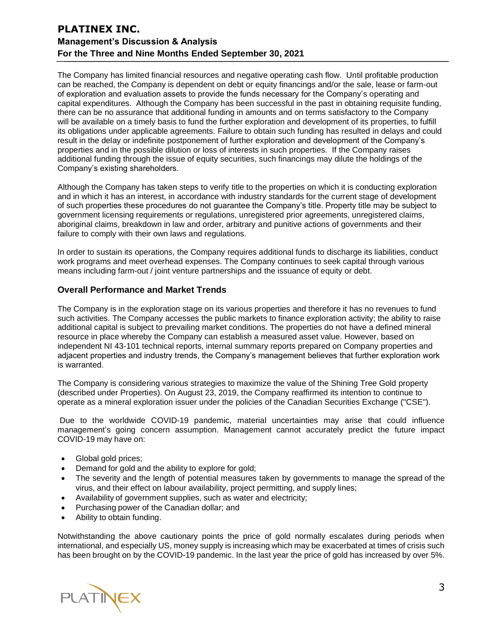The Company has limited financial resources and negative operating cash flow. Until profitable production can be reached, the Company is dependent on debt or equity financings and/or the sale, lease or farm-out of exploration and evaluation assets to provide the funds necessary for the Company's operating and capital expenditures. Although the Company has been successful in the past in obtaining requisite funding, there can be no assurance that additional funding in amounts and on terms satisfactory to the Company will be available on a timely basis to fund the further exploration and development of its properties, to fulfill its obligations under applicable agreements. Failure to obtain such funding has resulted in delays and could result in the delay or indefinite postponement of further exploration and development of the Company's properties and in the possible dilution or loss of interests in such properties. If the Company raises additional funding through the issue of equity securities, such financings may dilute the holdings of the Company's existing shareholders.

Although the Company has taken steps to verify title to the properties on which it is conducting exploration and in which it has an interest, in accordance with industry standards for the current stage of development of such properties these procedures do not guarantee the Company's title. Property title may be subject to government licensing requirements or regulations, unregistered prior agreements, unregistered claims, aboriginal claims, breakdown in law and order, arbitrary and punitive actions of governments and their failure to comply with their own laws and regulations.

In order to sustain its operations, the Company requires additional funds to discharge its liabilities, conduct work programs and meet overhead expenses. The Company continues to seek capital through various means including farm-out / joint venture partnerships and the issuance of equity or debt.

## **Overall Performance and Market Trends**

The Company is in the exploration stage on its various properties and therefore it has no revenues to fund such activities. The Company accesses the public markets to finance exploration activity; the ability to raise additional capital is subject to prevailing market conditions. The properties do not have a defined mineral resource in place whereby the Company can establish a measured asset value. However, based on independent NI 43-101 technical reports, internal summary reports prepared on Company properties and adjacent properties and industry trends, the Company's management believes that further exploration work is warranted.

The Company is considering various strategies to maximize the value of the Shining Tree Gold property (described under Properties). On August 23, 2019, the Company reaffirmed its intention to continue to operate as a mineral exploration issuer under the policies of the Canadian Securities Exchange ("CSE").

Due to the worldwide COVID-19 pandemic, material uncertainties may arise that could influence management's going concern assumption. Management cannot accurately predict the future impact COVID-19 may have on:

- Global gold prices;
- Demand for gold and the ability to explore for gold;
- The severity and the length of potential measures taken by governments to manage the spread of the virus, and their effect on labour availability, project permitting, and supply lines;
- Availabilityof government supplies, such as water and electricity;
- Purchasing power of the Canadian dollar; and
- Ability to obtain funding.

Notwithstanding the above cautionary points the price of gold normally escalates during periods when international, and especially US, money supply is increasing which may be exacerbated at times of crisis such has been brought on by the COVID-19 pandemic. In the last year the price of gold has increased by over 5%.

PLATINEX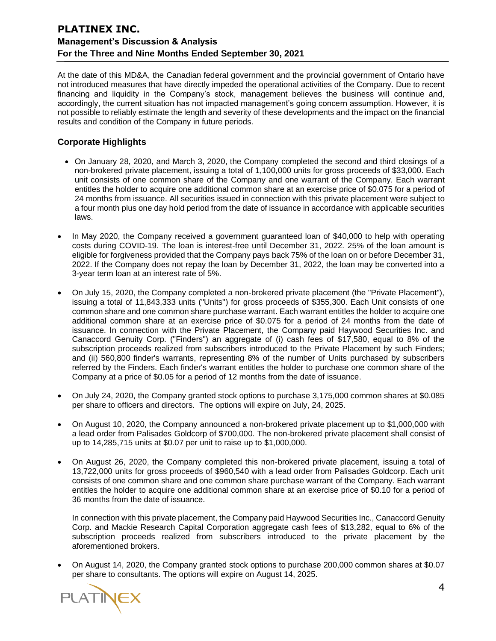At the date of this MD&A, the Canadian federal government and the provincial government of Ontario have not introduced measures that have directly impeded the operational activities of the Company. Due to recent financing and liquidity in the Company's stock, management believes the business will continue and, accordingly, the current situation has not impacted management's going concern assumption. However, it is not possible to reliably estimate the length and severity of these developments and the impact on the financial results and condition of the Company in future periods.

# **Corporate Highlights**

- On January 28, 2020, and March 3, 2020, the Company completed the second and third closings of a non-brokered private placement, issuing a total of 1,100,000 units for gross proceeds of \$33,000. Each unit consists of one common share of the Company and one warrant of the Company. Each warrant entitles the holder to acquire one additional common share at an exercise price of \$0.075 for a period of 24 months from issuance. All securities issued in connection with this private placement were subject to a four month plus one day hold period from the date of issuance in accordance with applicable securities laws.
- In May 2020, the Company received a government guaranteed loan of \$40,000 to help with operating costs during COVID-19. The loan is interest-free until December 31, 2022. 25% of the loan amount is eligible for forgiveness provided that the Company pays back 75% of the loan on or before December 31, 2022. If the Company does not repay the loan by December 31, 2022, the loan may be converted into a 3-year term loan at an interest rate of 5%.
- On July 15, 2020, the Company completed a non-brokered private placement (the "Private Placement"), issuing a total of 11,843,333 units ("Units") for gross proceeds of \$355,300. Each Unit consists of one common share and one common share purchase warrant. Each warrant entitles the holder to acquire one additional common share at an exercise price of \$0.075 for a period of 24 months from the date of issuance. In connection with the Private Placement, the Company paid Haywood Securities Inc. and Canaccord Genuity Corp. ("Finders") an aggregate of (i) cash fees of \$17,580, equal to 8% of the subscription proceeds realized from subscribers introduced to the Private Placement by such Finders; and (ii) 560,800 finder's warrants, representing 8% of the number of Units purchased by subscribers referred by the Finders. Each finder's warrant entitles the holder to purchase one common share of the Company at a price of \$0.05 for a period of 12 months from the date of issuance.
- On July 24, 2020, the Company granted stock options to purchase 3,175,000 common shares at \$0.085 per share to officers and directors. The options will expire on July, 24, 2025.
- On August 10, 2020, the Company announced a non-brokered private placement up to \$1,000,000 with a lead order from Palisades Goldcorp of \$700,000. The non-brokered private placement shall consist of up to 14,285,715 units at \$0.07 per unit to raise up to \$1,000,000.
- On August 26, 2020, the Company completed this non-brokered private placement, issuing a total of 13,722,000 units for gross proceeds of \$960,540 with a lead order from Palisades Goldcorp. Each unit consists of one common share and one common share purchase warrant of the Company. Each warrant entitles the holder to acquire one additional common share at an exercise price of \$0.10 for a period of 36 months from the date of issuance.

In connection with this private placement, the Company paid Haywood Securities Inc., Canaccord Genuity Corp. and Mackie Research Capital Corporation aggregate cash fees of \$13,282, equal to 6% of the subscription proceeds realized from subscribers introduced to the private placement by the aforementioned brokers.

• On August 14, 2020, the Company granted stock options to purchase 200,000 common shares at \$0.07 per share to consultants. The options will expire on August 14, 2025.

**PLATINEX**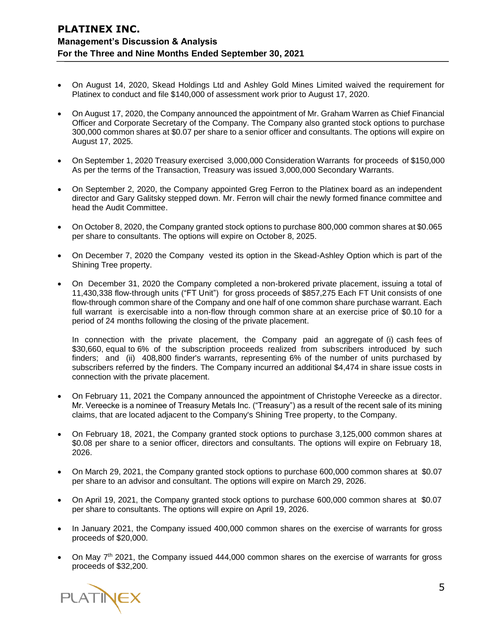- On August 14, 2020, Skead Holdings Ltd and Ashley Gold Mines Limited waived the requirement for Platinex to conduct and file \$140,000 of assessment work prior to August 17, 2020.
- On August 17, 2020, the Company announced the appointment of Mr. Graham Warren as Chief Financial Officer and Corporate Secretary of the Company. The Company also granted stock options to purchase 300,000 common shares at \$0.07 per share to a senior officer and consultants. The options will expire on August 17, 2025.
- On September 1, 2020 Treasury exercised 3,000,000 Consideration Warrants for proceeds of \$150,000 As per the terms of the Transaction, Treasury was issued 3,000,000 Secondary Warrants.
- On September 2, 2020, the Company appointed Greg Ferron to the Platinex board as an independent director and Gary Galitsky stepped down. Mr. Ferron will chair the newly formed finance committee and head the Audit Committee.
- On October 8, 2020, the Company granted stock options to purchase 800,000 common shares at \$0.065 per share to consultants. The options will expire on October 8, 2025.
- On December 7, 2020 the Company vested its option in the Skead-Ashley Option which is part of the Shining Tree property.
- On December 31, 2020 the Company completed a non-brokered private placement, issuing a total of 11,430,338 flow-through units ("FT Unit") for gross proceeds of \$857,275 Each FT Unit consists of one flow-through common share of the Company and one half of one common share purchase warrant. Each full warrant is exercisable into a non-flow through common share at an exercise price of \$0.10 for a period of 24 months following the closing of the private placement.

In connection with the private placement, the Company paid an aggregate of (i) cash fees of \$30,660, equal to 6% of the subscription proceeds realized from subscribers introduced by such finders; and (ii) 408,800 finder's warrants, representing 6% of the number of units purchased by subscribers referred by the finders. The Company incurred an additional \$4,474 in share issue costs in connection with the private placement.

- On February 11, 2021 the Company announced the appointment of Christophe Vereecke as a director. Mr. Vereecke is a nominee of Treasury Metals Inc. ("Treasury") as a result of the recent sale of its mining claims, that are located adjacent to the Company's Shining Tree property, to the Company.
- On February 18, 2021, the Company granted stock options to purchase 3,125,000 common shares at \$0.08 per share to a senior officer, directors and consultants. The options will expire on February 18, 2026.
- On March 29, 2021, the Company granted stock options to purchase 600,000 common shares at \$0.07 per share to an advisor and consultant. The options will expire on March 29, 2026.
- On April 19, 2021, the Company granted stock options to purchase 600,000 common shares at \$0.07 per share to consultants. The options will expire on April 19, 2026.
- In January 2021, the Company issued 400,000 common shares on the exercise of warrants for gross proceeds of \$20,000.
- On May 7<sup>th</sup> 2021, the Company issued 444,000 common shares on the exercise of warrants for gross proceeds of \$32,200.

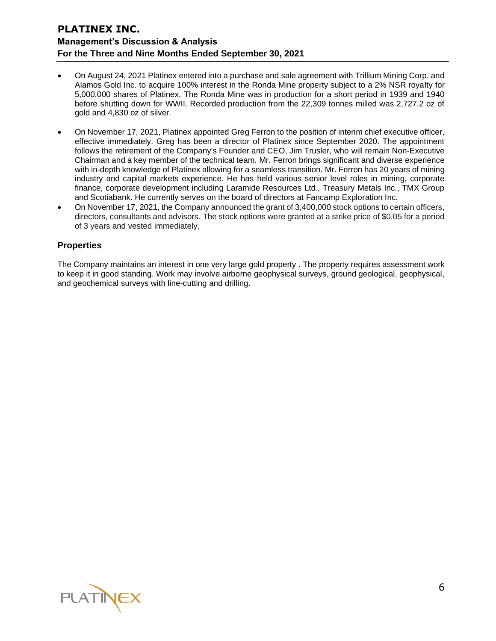- On August 24, 2021 Platinex entered into a purchase and sale agreement with Trillium Mining Corp. and Alamos Gold Inc. to acquire 100% interest in the Ronda Mine property subject to a 2% NSR royalty for 5,000,000 shares of Platinex. The Ronda Mine was in production for a short period in 1939 and 1940 before shutting down for WWII. Recorded production from the 22,309 tonnes milled was 2,727.2 oz of gold and 4,830 oz of silver.
- On November 17, 2021, Platinex appointed Greg Ferron to the position of interim chief executive officer, effective immediately. Greg has been a director of Platinex since September 2020. The appointment follows the retirement of the Company's Founder and CEO, Jim Trusler, who will remain Non-Executive Chairman and a key member of the technical team. Mr. Ferron brings significant and diverse experience with in-depth knowledge of Platinex allowing for a seamless transition. Mr. Ferron has 20 years of mining industry and capital markets experience. He has held various senior level roles in mining, corporate finance, corporate development including Laramide Resources Ltd., Treasury Metals Inc., TMX Group and Scotiabank. He currently serves on the board of directors at Fancamp Exploration Inc.
- On November 17, 2021, the Company announced the grant of 3,400,000 stock options to certain officers, directors, consultants and advisors. The stock options were granted at a strike price of \$0.05 for a period of 3 years and vested immediately.

# **Properties**

The Company maintains an interest in one very large gold property . The property requires assessment work to keep it in good standing. Work may involve airborne geophysical surveys, ground geological, geophysical, and geochemical surveys with line-cutting and drilling.

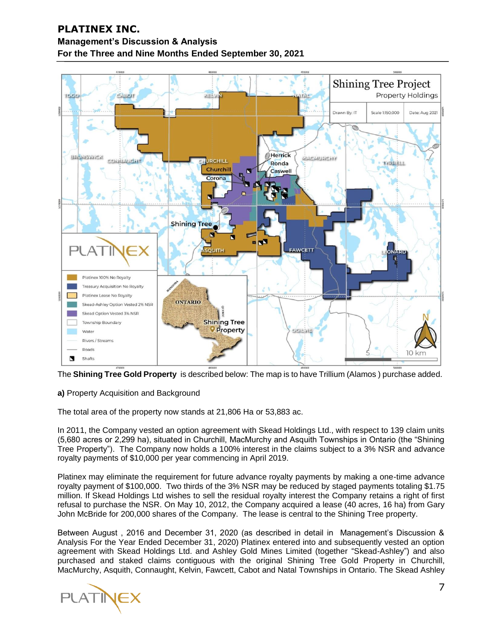

The **Shining Tree Gold Property** is described below: The map is to have Trillium (Alamos ) purchase added.

# **a)** Property Acquisition and Background

The total area of the property now stands at 21,806 Ha or 53,883 ac.

In 2011, the Company vested an option agreement with Skead Holdings Ltd., with respect to 139 claim units (5,680 acres or 2,299 ha), situated in Churchill, MacMurchy and Asquith Townships in Ontario (the "Shining Tree Property"). The Company now holds a 100% interest in the claims subject to a 3% NSR and advance royalty payments of \$10,000 per year commencing in April 2019.

Platinex may eliminate the requirement for future advance royalty payments by making a one-time advance royalty payment of \$100,000. Two thirds of the 3% NSR may be reduced by staged payments totaling \$1.75 million. If Skead Holdings Ltd wishes to sell the residual royalty interest the Company retains a right of first refusal to purchase the NSR. On May 10, 2012, the Company acquired a lease (40 acres, 16 ha) from Gary John McBride for 200,000 shares of the Company. The lease is central to the Shining Tree property.

Between August , 2016 and December 31, 2020 (as described in detail in Management's Discussion & Analysis For the Year Ended December 31, 2020) Platinex entered into and subsequently vested an option agreement with Skead Holdings Ltd. and Ashley Gold Mines Limited (together "Skead-Ashley") and also purchased and staked claims contiguous with the original Shining Tree Gold Property in Churchill, MacMurchy, Asquith, Connaught, Kelvin, Fawcett, Cabot and Natal Townships in Ontario. The Skead Ashley

**PLATINEX**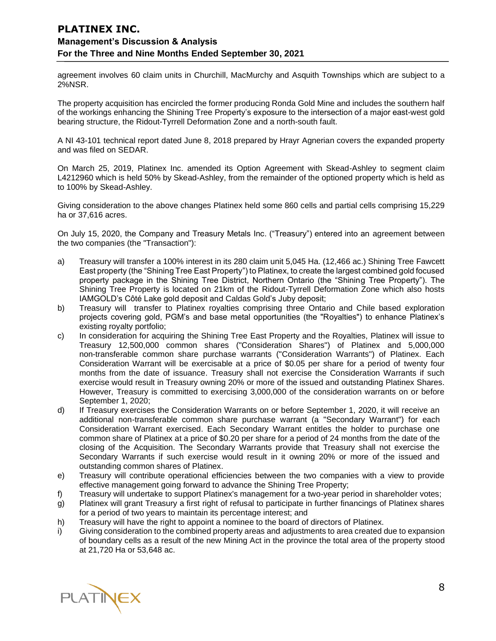agreement involves 60 claim units in Churchill, MacMurchy and Asquith Townships which are subject to a 2%NSR.

The property acquisition has encircled the former producing Ronda Gold Mine and includes the southern half of the workings enhancing the Shining Tree Property's exposure to the intersection of a major east-west gold bearing structure, the Ridout-Tyrrell Deformation Zone and a north-south fault.

A NI 43-101 technical report dated June 8, 2018 prepared by Hrayr Agnerian covers the expanded property and was filed on SEDAR.

On March 25, 2019, Platinex Inc. amended its Option Agreement with Skead-Ashley to segment claim L4212960 which is held 50% by Skead-Ashley, from the remainder of the optioned property which is held as to 100% by Skead-Ashley.

Giving consideration to the above changes Platinex held some 860 cells and partial cells comprising 15,229 ha or 37,616 acres.

On July 15, 2020, the Company and Treasury Metals Inc. ("Treasury") entered into an agreement between the two companies (the "Transaction"):

- a) Treasury will transfer a 100% interest in its 280 claim unit 5,045 Ha. (12,466 ac.) Shining Tree Fawcett East property (the "Shining Tree East Property") to Platinex, to create the largest combined gold focused property package in the Shining Tree District, Northern Ontario (the "Shining Tree Property"). The Shining Tree Property is located on 21km of the Ridout-Tyrrell Deformation Zone which also hosts IAMGOLD's Côté Lake gold deposit and Caldas Gold's Juby deposit;
- b) Treasury will transfer to Platinex royalties comprising three Ontario and Chile based exploration projects covering gold, PGM's and base metal opportunities (the "Royalties") to enhance Platinex's existing royalty portfolio;
- c) In consideration for acquiring the Shining Tree East Property and the Royalties, Platinex will issue to Treasury 12,500,000 common shares ("Consideration Shares") of Platinex and 5,000,000 non-transferable common share purchase warrants ("Consideration Warrants") of Platinex. Each Consideration Warrant will be exercisable at a price of \$0.05 per share for a period of twenty four months from the date of issuance. Treasury shall not exercise the Consideration Warrants if such exercise would result in Treasury owning 20% or more of the issued and outstanding Platinex Shares. However, Treasury is committed to exercising 3,000,000 of the consideration warrants on or before September 1, 2020;
- d) If Treasury exercises the Consideration Warrants on or before September 1, 2020, it will receive an additional non-transferable common share purchase warrant (a "Secondary Warrant") for each Consideration Warrant exercised. Each Secondary Warrant entitles the holder to purchase one common share of Platinex at a price of \$0.20 per share for a period of 24 months from the date of the closing of the Acquisition. The Secondary Warrants provide that Treasury shall not exercise the Secondary Warrants if such exercise would result in it owning 20% or more of the issued and outstanding common shares of Platinex.
- e) Treasury will contribute operational efficiencies between the two companies with a view to provide effective management going forward to advance the Shining Tree Property;
- f) Treasury will undertake to support Platinex's management for a two-year period in shareholder votes;
- g) Platinex will grant Treasury a first right of refusal to participate in further financings of Platinex shares for a period of two years to maintain its percentage interest; and
- h) Treasury will have the right to appoint a nominee to the board of directors of Platinex.
- i) Giving consideration to the combined property areas and adjustments to area created due to expansion of boundary cells as a result of the new Mining Act in the province the total area of the property stood at 21,720 Ha or 53,648 ac.

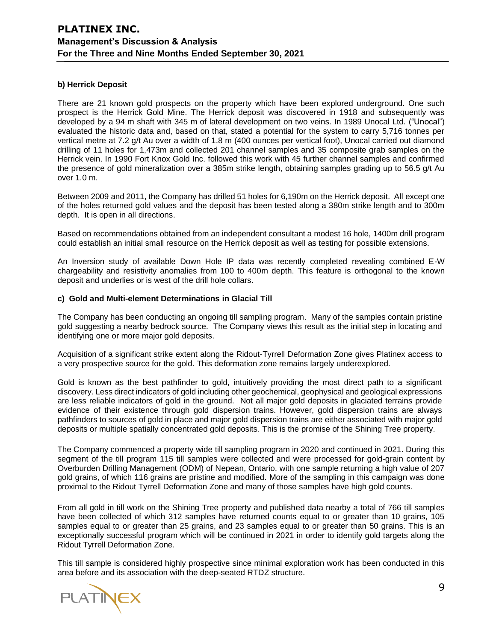#### **b) Herrick Deposit**

There are 21 known gold prospects on the property which have been explored underground. One such prospect is the Herrick Gold Mine. The Herrick deposit was discovered in 1918 and subsequently was developed by a 94 m shaft with 345 m of lateral development on two veins. In 1989 Unocal Ltd. ("Unocal") evaluated the historic data and, based on that, stated a potential for the system to carry 5,716 tonnes per vertical metre at 7.2 g/t Au over a width of 1.8 m (400 ounces per vertical foot), Unocal carried out diamond drilling of 11 holes for 1,473m and collected 201 channel samples and 35 composite grab samples on the Herrick vein. In 1990 Fort Knox Gold Inc. followed this work with 45 further channel samples and confirmed the presence of gold mineralization over a 385m strike length, obtaining samples grading up to 56.5 g/t Au over 1.0 m.

Between 2009 and 2011, the Company has drilled 51 holes for 6,190m on the Herrick deposit. All except one of the holes returned gold values and the deposit has been tested along a 380m strike length and to 300m depth. It is open in all directions.

Based on recommendations obtained from an independent consultant a modest 16 hole, 1400m drill program could establish an initial small resource on the Herrick deposit as well as testing for possible extensions.

An Inversion study of available Down Hole IP data was recently completed revealing combined E-W chargeability and resistivity anomalies from 100 to 400m depth. This feature is orthogonal to the known deposit and underlies or is west of the drill hole collars.

#### **c) Gold and Multi-element Determinations in Glacial Till**

The Company has been conducting an ongoing till sampling program. Many of the samples contain pristine gold suggesting a nearby bedrock source. The Company views this result as the initial step in locating and identifying one or more major gold deposits.

Acquisition of a significant strike extent along the Ridout-Tyrrell Deformation Zone gives Platinex access to a very prospective source for the gold. This deformation zone remains largely underexplored.

Gold is known as the best pathfinder to gold, intuitively providing the most direct path to a significant discovery. Less direct indicators of gold including other geochemical, geophysical and geological expressions are less reliable indicators of gold in the ground. Not all major gold deposits in glaciated terrains provide evidence of their existence through gold dispersion trains. However, gold dispersion trains are always pathfinders to sources of gold in place and major gold dispersion trains are either associated with major gold deposits or multiple spatially concentrated gold deposits. This is the promise of the Shining Tree property.

The Company commenced a property wide till sampling program in 2020 and continued in 2021. During this segment of the till program 115 till samples were collected and were processed for gold-grain content by Overburden Drilling Management (ODM) of Nepean, Ontario, with one sample returning a high value of 207 gold grains, of which 116 grains are pristine and modified. More of the sampling in this campaign was done proximal to the Ridout Tyrrell Deformation Zone and many of those samples have high gold counts.

From all gold in till work on the Shining Tree property and published data nearby a total of 766 till samples have been collected of which 312 samples have returned counts equal to or greater than 10 grains, 105 samples equal to or greater than 25 grains, and 23 samples equal to or greater than 50 grains. This is an exceptionally successful program which will be continued in 2021 in order to identify gold targets along the Ridout Tyrrell Deformation Zone.

This till sample is considered highly prospective since minimal exploration work has been conducted in this area before and its association with the deep-seated RTDZ structure.

**PLATINEX**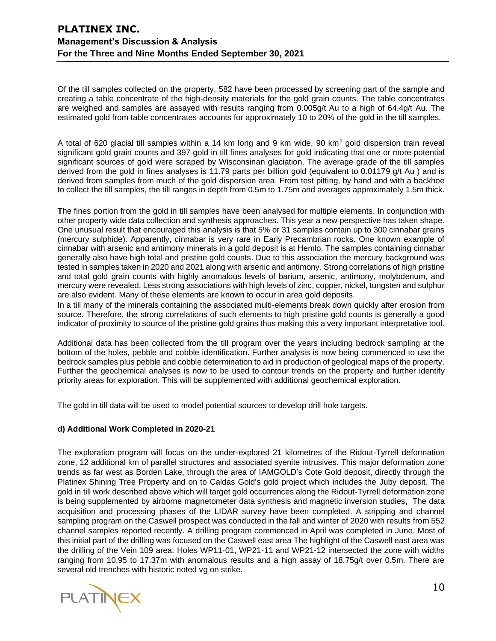Of the till samples collected on the property, 582 have been processed by screening part of the sample and creating a table concentrate of the high-density materials for the gold grain counts. The table concentrates are weighed and samples are assayed with results ranging from 0.005g/t Au to a high of 64.4g/t Au. The estimated gold from table concentrates accounts for approximately 10 to 20% of the gold in the till samples.

A total of 620 glacial till samples within a 14 km long and 9 km wide, 90 km<sup>2</sup> gold dispersion train reveal significant gold grain counts and 397 gold in till fines analyses for gold indicating that one or more potential significant sources of gold were scraped by Wisconsinan glaciation. The average grade of the till samples derived from the gold in fines analyses is 11.79 parts per billion gold (equivalent to 0.01179 g/t Au ) and is derived from samples from much of the gold dispersion area. From test pitting, by hand and with a backhoe to collect the till samples, the till ranges in depth from 0.5m to 1.75m and averages approximately 1.5m thick.

**T**he fines portion from the gold in till samples have been analysed for multiple elements. In conjunction with other property wide data collection and synthesis approaches. This year a new perspective has taken shape. One unusual result that encouraged this analysis is that 5% or 31 samples contain up to 300 cinnabar grains (mercury sulphide). Apparently, cinnabar is very rare in Early Precambrian rocks. One known example of cinnabar with arsenic and antimony minerals in a gold deposit is at Hemlo. The samples containing cinnabar generally also have high total and pristine gold counts. Due to this association the mercury background was tested in samples taken in 2020 and 2021 along with arsenic and antimony. Strong correlations of high pristine and total gold grain counts with highly anomalous levels of barium, arsenic, antimony, molybdenum, and mercury were revealed. Less strong associations with high levels of zinc, copper, nickel, tungsten and sulphur are also evident. Many of these elements are known to occur in area gold deposits.

In a till many of the minerals containing the associated multi-elements break down quickly after erosion from source. Therefore, the strong correlations of such elements to high pristine gold counts is generally a good indicator of proximity to source of the pristine gold grains thus making this a very important interpretative tool.

Additional data has been collected from the till program over the years including bedrock sampling at the bottom of the holes, pebble and cobble identification. Further analysis is now being commenced to use the bedrock samples plus pebble and cobble determination to aid in production of geological maps of the property. Further the geochemical analyses is now to be used to contour trends on the property and further identify priority areas for exploration. This will be supplemented with additional geochemical exploration.

The gold in till data will be used to model potential sources to develop drill hole targets.

## **d) Additional Work Completed in 2020-21**

The exploration program will focus on the under-explored 21 kilometres of the Ridout-Tyrrell deformation zone, 12 additional km of parallel structures and associated syenite intrusives. This major deformation zone trends as far west as Borden Lake, through the area of IAMGOLD's Cote Gold deposit, directly through the Platinex Shining Tree Property and on to Caldas Gold's gold project which includes the Juby deposit. The gold in till work described above which will target gold occurrences along the Ridout-Tyrrell deformation zone is being supplemented by airborne magnetometer data synthesis and magnetic inversion studies, The data acquisition and processing phases of the LIDAR survey have been completed. A stripping and channel sampling program on the Caswell prospect was conducted in the fall and winter of 2020 with results from 552 channel samples reported recently. A drilling program commenced in April was completed in June. Most of this initial part of the drilling was focused on the Caswell east area The highlight of the Caswell east area was the drilling of the Vein 109 area. Holes WP11-01, WP21-11 and WP21-12 intersected the zone with widths ranging from 10.95 to 17.37m with anomalous results and a high assay of 18.75g/t over 0.5m. There are several old trenches with historic noted vg on strike.

PLATINEX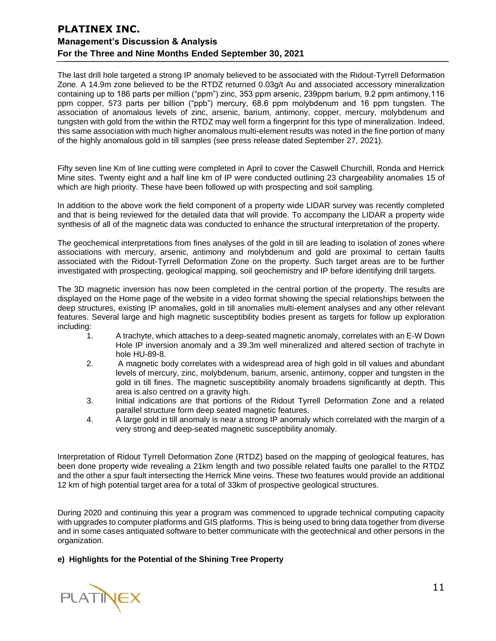The last drill hole targeted a strong IP anomaly believed to be associated with the Ridout-Tyrrell Deformation Zone. A 14.9m zone believed to be the RTDZ returned 0.03g/t Au and associated accessory mineralization containing up to 186 parts per million ("ppm") zinc, 353 ppm arsenic, 239ppm barium, 9.2 ppm antimony,116 ppm copper, 573 parts per billion ("ppb") mercury, 68.6 ppm molybdenum and 16 ppm tungsten. The association of anomalous levels of zinc, arsenic, barium, antimony, copper, mercury, molybdenum and tungsten with gold from the within the RTDZ may well form a fingerprint for this type of mineralization. Indeed, this same association with much higher anomalous multi-element results was noted in the fine portion of many of the highly anomalous gold in till samples (see press release dated September 27, 2021).

Fifty seven line Km of line cutting were completed in April to cover the Caswell Churchill, Ronda and Herrick Mine sites. Twenty eight and a half line km of IP were conducted outlining 23 chargeability anomalies 15 of which are high priority. These have been followed up with prospecting and soil sampling.

In addition to the above work the field component of a property wide LIDAR survey was recently completed and that is being reviewed for the detailed data that will provide. To accompany the LIDAR a property wide synthesis of all of the magnetic data was conducted to enhance the structural interpretation of the property.

The geochemical interpretations from fines analyses of the gold in till are leading to isolation of zones where associations with mercury, arsenic, antimony and molybdenum and gold are proximal to certain faults associated with the Ridout-Tyrrell Deformation Zone on the property. Such target areas are to be further investigated with prospecting, geological mapping, soil geochemistry and IP before identifying drill targets.

The 3D magnetic inversion has now been completed in the central portion of the property. The results are displayed on the Home page of the website in a video format showing the special relationships between the deep structures, existing IP anomalies, gold in till anomalies multi-element analyses and any other relevant features. Several large and high magnetic susceptibility bodies present as targets for follow up exploration including:

- 1. A trachyte, which attaches to a deep-seated magnetic anomaly, correlates with an E-W Down Hole IP inversion anomaly and a 39.3m well mineralized and altered section of trachyte in hole HU-89-8.
- 2. A magnetic body correlates with a widespread area of high gold in till values and abundant levels of mercury, zinc, molybdenum, barium, arsenic, antimony, copper and tungsten in the gold in till fines. The magnetic susceptibility anomaly broadens significantly at depth. This area is also centred on a gravity high.
- 3. Initial indications are that portions of the Ridout Tyrrell Deformation Zone and a related parallel structure form deep seated magnetic features.
- 4. A large gold in till anomaly is near a strong IP anomaly which correlated with the margin of a very strong and deep-seated magnetic susceptibility anomaly.

Interpretation of Ridout Tyrrell Deformation Zone (RTDZ) based on the mapping of geological features, has been done property wide revealing a 21km length and two possible related faults one parallel to the RTDZ and the other a spur fault intersecting the Herrick Mine veins. These two features would provide an additional 12 km of high potential target area for a total of 33km of prospective geological structures.

During 2020 and continuing this year a program was commenced to upgrade technical computing capacity with upgrades to computer platforms and GIS platforms. This is being used to bring data together from diverse and in some cases antiquated software to better communicate with the geotechnical and other persons in the organization.

**e) Highlights for the Potential of the Shining Tree Property**

PLATINEX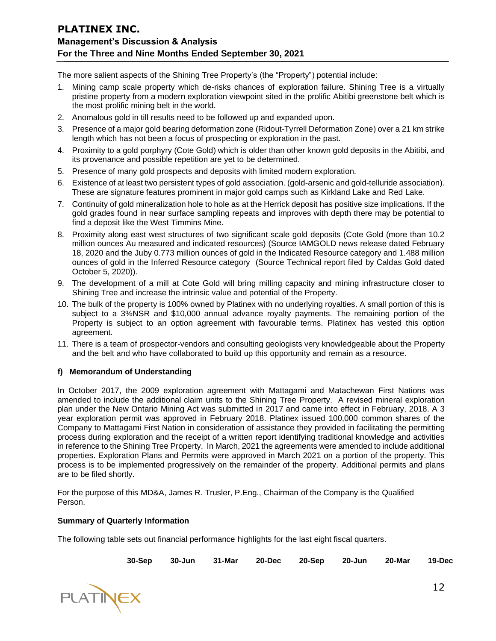The more salient aspects of the Shining Tree Property's (the "Property") potential include:

- 1. Mining camp scale property which de-risks chances of exploration failure. Shining Tree is a virtually pristine property from a modern exploration viewpoint sited in the prolific Abitibi greenstone belt which is the most prolific mining belt in the world.
- 2. Anomalous gold in till results need to be followed up and expanded upon.
- 3. Presence of a major gold bearing deformation zone (Ridout-Tyrrell Deformation Zone) over a 21 km strike length which has not been a focus of prospecting or exploration in the past.
- 4. Proximity to a gold porphyry (Cote Gold) which is older than other known gold deposits in the Abitibi, and its provenance and possible repetition are yet to be determined.
- 5. Presence of many gold prospects and deposits with limited modern exploration.
- 6. Existence of at least two persistent types of gold association. (gold-arsenic and gold-telluride association). These are signature features prominent in major gold camps such as Kirkland Lake and Red Lake.
- 7. Continuity of gold mineralization hole to hole as at the Herrick deposit has positive size implications. If the gold grades found in near surface sampling repeats and improves with depth there may be potential to find a deposit like the West Timmins Mine.
- 8. Proximity along east west structures of two significant scale gold deposits (Cote Gold (more than 10.2 million ounces Au measured and indicated resources) (Source IAMGOLD news release dated February 18, 2020 and the Juby 0.773 million ounces of gold in the Indicated Resource category and 1.488 million ounces of gold in the Inferred Resource category (Source Technical report filed by Caldas Gold dated October 5, 2020)).
- 9. The development of a mill at Cote Gold will bring milling capacity and mining infrastructure closer to Shining Tree and increase the intrinsic value and potential of the Property.
- 10. The bulk of the property is 100% owned by Platinex with no underlying royalties. A small portion of this is subject to a 3%NSR and \$10,000 annual advance royalty payments. The remaining portion of the Property is subject to an option agreement with favourable terms. Platinex has vested this option agreement.
- 11. There is a team of prospector-vendors and consulting geologists very knowledgeable about the Property and the belt and who have collaborated to build up this opportunity and remain as a resource.

## **f) Memorandum of Understanding**

In October 2017, the 2009 exploration agreement with Mattagami and Matachewan First Nations was amended to include the additional claim units to the Shining Tree Property. A revised mineral exploration plan under the New Ontario Mining Act was submitted in 2017 and came into effect in February, 2018. A 3 year exploration permit was approved in February 2018. Platinex issued 100,000 common shares of the Company to Mattagami First Nation in consideration of assistance they provided in facilitating the permitting process during exploration and the receipt of a written report identifying traditional knowledge and activities in reference to the Shining Tree Property. In March, 2021 the agreements were amended to include additional properties. Exploration Plans and Permits were approved in March 2021 on a portion of the property. This process is to be implemented progressively on the remainder of the property. Additional permits and plans are to be filed shortly.

For the purpose of this MD&A, James R. Trusler, P.Eng., Chairman of the Company is the Qualified Person.

## **Summary of Quarterly Information**

The following table sets out financial performance highlights for the last eight fiscal quarters.

**30-Sep 30-Jun 31-Mar 20-Dec 20-Sep 20-Jun 20-Mar 19-Dec**

**PLATINEX**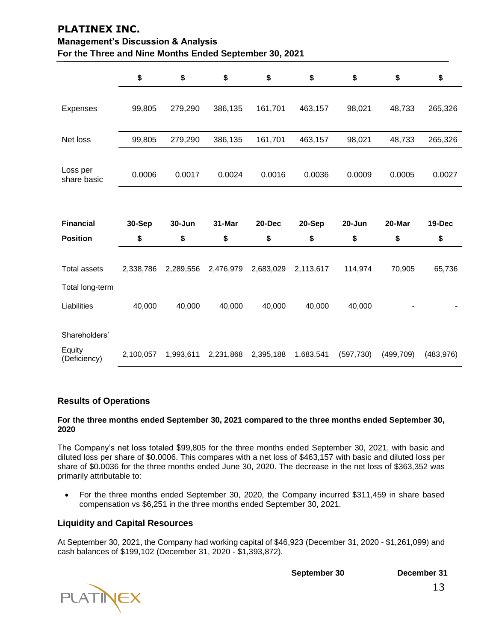| For the Three and Nine Months Ended September 30, 2021 |           |           |           |           |           |         |        |         |
|--------------------------------------------------------|-----------|-----------|-----------|-----------|-----------|---------|--------|---------|
|                                                        | \$        | \$        | \$        | \$        | \$        | \$      | \$     | \$      |
| Expenses                                               | 99,805    | 279,290   | 386,135   | 161,701   | 463,157   | 98,021  | 48,733 | 265,326 |
| Net loss                                               | 99,805    | 279,290   | 386,135   | 161,701   | 463,157   | 98,021  | 48,733 | 265,326 |
| Loss per<br>share basic                                | 0.0006    | 0.0017    | 0.0024    | 0.0016    | 0.0036    | 0.0009  | 0.0005 | 0.0027  |
|                                                        |           |           |           |           |           |         |        |         |
| <b>Financial</b>                                       | 30-Sep    | 30-Jun    | 31-Mar    | 20-Dec    | 20-Sep    | 20-Jun  | 20-Mar | 19-Dec  |
| <b>Position</b>                                        | \$        | \$        | \$        | \$        | \$        | \$      | \$     | \$      |
| <b>Total assets</b>                                    | 2,338,786 | 2,289,556 | 2,476,979 | 2,683,029 | 2,113,617 | 114,974 | 70,905 | 65,736  |
| Total long-term                                        |           |           |           |           |           |         |        |         |
|                                                        |           |           |           |           |           |         |        |         |
| Liabilities                                            | 40,000    | 40,000    | 40,000    | 40,000    | 40,000    | 40,000  |        |         |
| Shareholders'                                          |           |           |           |           |           |         |        |         |

# **PLATINEX INC. Management's Discussion & Analysis**

# **Results of Operations**

#### **For the three months ended September 30, 2021 compared to the three months ended September 30, 2020**

The Company's net loss totaled \$99,805 for the three months ended September 30, 2021, with basic and diluted loss per share of \$0.0006. This compares with a net loss of \$463,157 with basic and diluted loss per share of \$0.0036 for the three months ended June 30, 2020. The decrease in the net loss of \$363,352 was primarily attributable to:

• For the three months ended September 30, 2020, the Company incurred \$311,459 in share based compensation vs \$6,251 in the three months ended September 30, 2021.

# **Liquidity and Capital Resources**

At September 30, 2021, the Company had working capital of \$46,923 (December 31, 2020 - \$1,261,099) and cash balances of \$199,102 (December 31, 2020 - \$1,393,872).

**September 30 December 31**

**PLATINEX**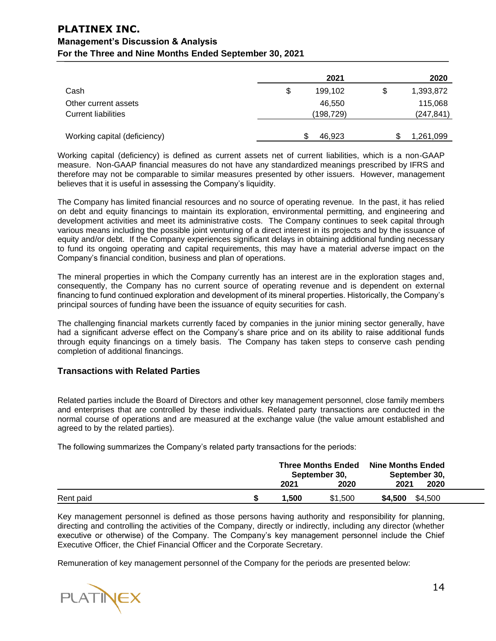|                              | 2021          | 2020            |
|------------------------------|---------------|-----------------|
| Cash                         | \$<br>199,102 | \$<br>1,393,872 |
| Other current assets         | 46,550        | 115,068         |
| <b>Current liabilities</b>   | (198, 729)    | (247, 841)      |
|                              |               |                 |
| Working capital (deficiency) | 46,923        | \$<br>1,261,099 |

Working capital (deficiency) is defined as current assets net of current liabilities, which is a non-GAAP measure. Non-GAAP financial measures do not have any standardized meanings prescribed by IFRS and therefore may not be comparable to similar measures presented by other issuers. However, management believes that it is useful in assessing the Company's liquidity.

The Company has limited financial resources and no source of operating revenue. In the past, it has relied on debt and equity financings to maintain its exploration, environmental permitting, and engineering and development activities and meet its administrative costs. The Company continues to seek capital through various means including the possible joint venturing of a direct interest in its projects and by the issuance of equity and/or debt. If the Company experiences significant delays in obtaining additional funding necessary to fund its ongoing operating and capital requirements, this may have a material adverse impact on the Company's financial condition, business and plan of operations.

The mineral properties in which the Company currently has an interest are in the exploration stages and, consequently, the Company has no current source of operating revenue and is dependent on external financing to fund continued exploration and development of its mineral properties. Historically, the Company's principal sources of funding have been the issuance of equity securities for cash.

The challenging financial markets currently faced by companies in the junior mining sector generally, have had a significant adverse effect on the Company's share price and on its ability to raise additional funds through equity financings on a timely basis. The Company has taken steps to conserve cash pending completion of additional financings.

## **Transactions with Related Parties**

Related parties include the Board of Directors and other key management personnel, close family members and enterprises that are controlled by these individuals. Related party transactions are conducted in the normal course of operations and are measured at the exchange value (the value amount established and agreed to by the related parties).

The following summarizes the Company's related party transactions for the periods:

|           | <b>Three Months Ended</b><br>September 30, |         | <b>Nine Months Ended</b><br>September 30, |  |
|-----------|--------------------------------------------|---------|-------------------------------------------|--|
|           | 2021                                       | 2020    | 2020<br>2021                              |  |
| Rent paid | 1,500                                      | \$1,500 | \$4,500<br>\$4,500                        |  |

Key management personnel is defined as those persons having authority and responsibility for planning, directing and controlling the activities of the Company, directly or indirectly, including any director (whether executive or otherwise) of the Company. The Company's key management personnel include the Chief Executive Officer, the Chief Financial Officer and the Corporate Secretary.

Remuneration of key management personnel of the Company for the periods are presented below:

**PLATINEX**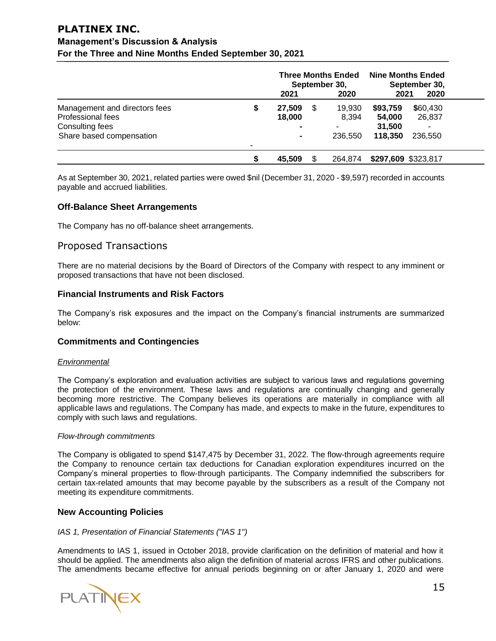# **PLATINEX INC.**

# **Management's Discussion & Analysis For the Three and Nine Months Ended September 30, 2021**

|                                                                       |   | <b>Three Months Ended</b><br>September 30, |    |                                             | <b>Nine Months Ended</b><br>September 30, |                    |  |
|-----------------------------------------------------------------------|---|--------------------------------------------|----|---------------------------------------------|-------------------------------------------|--------------------|--|
|                                                                       |   | 2021                                       |    | 2020                                        | 2021                                      | 2020               |  |
| Management and directors fees<br>Professional fees<br>Consulting fees |   | 27,509<br>18,000<br>۰                      | \$ | 19,930<br>8.394<br>$\overline{\phantom{a}}$ | \$93,759<br>54.000<br>31,500              | \$60,430<br>26,837 |  |
| Share based compensation                                              | ۰ | ۰                                          |    | 236,550                                     | 118,350                                   | 236,550            |  |
|                                                                       |   | 45,509                                     |    | 264,874                                     | \$297,609 \$323,817                       |                    |  |

As at September 30, 2021, related parties were owed \$nil (December 31, 2020 - \$9,597) recorded in accounts payable and accrued liabilities.

## **Off-Balance Sheet Arrangements**

The Company has no off-balance sheet arrangements.

# Proposed Transactions

There are no material decisions by the Board of Directors of the Company with respect to any imminent or proposed transactions that have not been disclosed.

## **Financial Instruments and Risk Factors**

The Company's risk exposures and the impact on the Company's financial instruments are summarized below:

## **Commitments and Contingencies**

#### *Environmental*

The Company's exploration and evaluation activities are subject to various laws and regulations governing the protection of the environment. These laws and regulations are continually changing and generally becoming more restrictive. The Company believes its operations are materially in compliance with all applicable laws and regulations. The Company has made, and expects to make in the future, expenditures to comply with such laws and regulations.

#### *Flow-through commitments*

The Company is obligated to spend \$147,475 by December 31, 2022. The flow-through agreements require the Company to renounce certain tax deductions for Canadian exploration expenditures incurred on the Company's mineral properties to flow-through participants. The Company indemnified the subscribers for certain tax-related amounts that may become payable by the subscribers as a result of the Company not meeting its expenditure commitments.

## **New Accounting Policies**

#### *IAS 1, Presentation of Financial Statements ("IAS 1")*

Amendments to IAS 1, issued in October 2018, provide clarification on the definition of material and how it should be applied. The amendments also align the definition of material across IFRS and other publications. The amendments became effective for annual periods beginning on or after January 1, 2020 and were

**PLATINEX**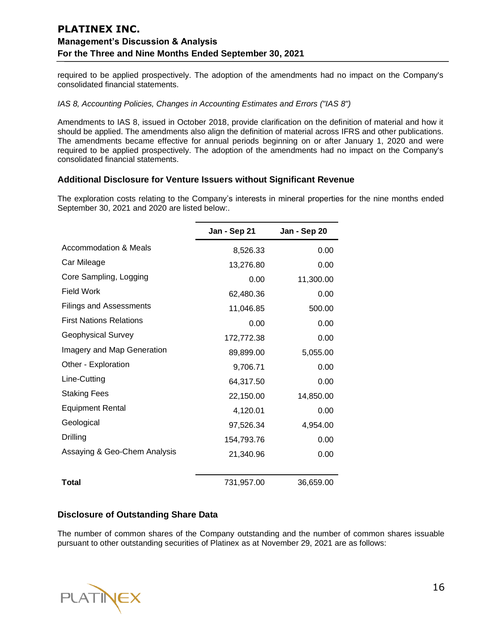required to be applied prospectively. The adoption of the amendments had no impact on the Company's consolidated financial statements.

#### *IAS 8, Accounting Policies, Changes in Accounting Estimates and Errors ("IAS 8")*

Amendments to IAS 8, issued in October 2018, provide clarification on the definition of material and how it should be applied. The amendments also align the definition of material across IFRS and other publications. The amendments became effective for annual periods beginning on or after January 1, 2020 and were required to be applied prospectively. The adoption of the amendments had no impact on the Company's consolidated financial statements.

## **Additional Disclosure for Venture Issuers without Significant Revenue**

The exploration costs relating to the Company's interests in mineral properties for the nine months ended September 30, 2021 and 2020 are listed below:.

|                                | Jan - Sep 21 | Jan - Sep 20 |
|--------------------------------|--------------|--------------|
| Accommodation & Meals          | 8,526.33     | 0.00         |
| Car Mileage                    | 13,276.80    | 0.00         |
| Core Sampling, Logging         | 0.00         | 11,300.00    |
| Field Work                     | 62,480.36    | 0.00         |
| <b>Filings and Assessments</b> | 11,046.85    | 500.00       |
| <b>First Nations Relations</b> | 0.00         | 0.00         |
| <b>Geophysical Survey</b>      | 172,772.38   | 0.00         |
| Imagery and Map Generation     | 89,899.00    | 5,055.00     |
| Other - Exploration            | 9,706.71     | 0.00         |
| Line-Cutting                   | 64,317.50    | 0.00         |
| <b>Staking Fees</b>            | 22,150.00    | 14,850.00    |
| <b>Equipment Rental</b>        | 4,120.01     | 0.00         |
| Geological                     | 97,526.34    | 4,954.00     |
| Drilling                       | 154,793.76   | 0.00         |
| Assaying & Geo-Chem Analysis   | 21,340.96    | 0.00         |
|                                |              |              |
| Total                          | 731,957.00   | 36,659.00    |

## **Disclosure of Outstanding Share Data**

The number of common shares of the Company outstanding and the number of common shares issuable pursuant to other outstanding securities of Platinex as at November 29, 2021 are as follows:

PLATINEX